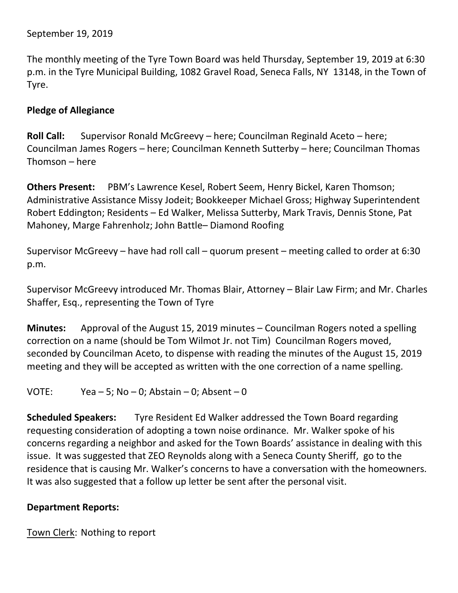The monthly meeting of the Tyre Town Board was held Thursday, September 19, 2019 at 6:30 p.m. in the Tyre Municipal Building, 1082 Gravel Road, Seneca Falls, NY 13148, in the Town of Tyre.

# **Pledge of Allegiance**

**Roll Call:** Supervisor Ronald McGreevy – here; Councilman Reginald Aceto – here; Councilman James Rogers – here; Councilman Kenneth Sutterby – here; Councilman Thomas Thomson – here

**Others Present:** PBM's Lawrence Kesel, Robert Seem, Henry Bickel, Karen Thomson; Administrative Assistance Missy Jodeit; Bookkeeper Michael Gross; Highway Superintendent Robert Eddington; Residents – Ed Walker, Melissa Sutterby, Mark Travis, Dennis Stone, Pat Mahoney, Marge Fahrenholz; John Battle– Diamond Roofing

Supervisor McGreevy – have had roll call – quorum present – meeting called to order at 6:30 p.m.

Supervisor McGreevy introduced Mr. Thomas Blair, Attorney – Blair Law Firm; and Mr. Charles Shaffer, Esq., representing the Town of Tyre

**Minutes:** Approval of the August 15, 2019 minutes – Councilman Rogers noted a spelling correction on a name (should be Tom Wilmot Jr. not Tim) Councilman Rogers moved, seconded by Councilman Aceto, to dispense with reading the minutes of the August 15, 2019 meeting and they will be accepted as written with the one correction of a name spelling.

VOTE: Yea – 5; No – 0; Abstain – 0; Absent – 0

**Scheduled Speakers:** Tyre Resident Ed Walker addressed the Town Board regarding requesting consideration of adopting a town noise ordinance. Mr. Walker spoke of his concerns regarding a neighbor and asked for the Town Boards' assistance in dealing with this issue. It was suggested that ZEO Reynolds along with a Seneca County Sheriff, go to the residence that is causing Mr. Walker's concerns to have a conversation with the homeowners. It was also suggested that a follow up letter be sent after the personal visit.

## **Department Reports:**

Town Clerk: Nothing to report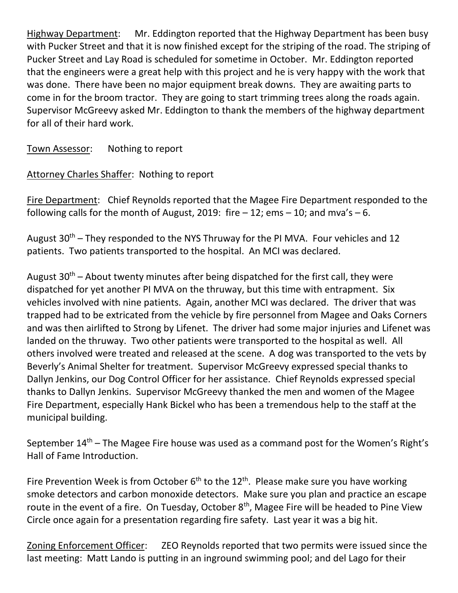Highway Department: Mr. Eddington reported that the Highway Department has been busy with Pucker Street and that it is now finished except for the striping of the road. The striping of Pucker Street and Lay Road is scheduled for sometime in October. Mr. Eddington reported that the engineers were a great help with this project and he is very happy with the work that was done. There have been no major equipment break downs. They are awaiting parts to come in for the broom tractor. They are going to start trimming trees along the roads again. Supervisor McGreevy asked Mr. Eddington to thank the members of the highway department for all of their hard work.

Town Assessor: Nothing to report

Attorney Charles Shaffer: Nothing to report

Fire Department: Chief Reynolds reported that the Magee Fire Department responded to the following calls for the month of August, 2019: fire  $-12$ ; ems  $-10$ ; and mva's  $-6$ .

August  $30<sup>th</sup>$  – They responded to the NYS Thruway for the PI MVA. Four vehicles and 12 patients. Two patients transported to the hospital. An MCI was declared.

August  $30<sup>th</sup>$  – About twenty minutes after being dispatched for the first call, they were dispatched for yet another PI MVA on the thruway, but this time with entrapment. Six vehicles involved with nine patients. Again, another MCI was declared. The driver that was trapped had to be extricated from the vehicle by fire personnel from Magee and Oaks Corners and was then airlifted to Strong by Lifenet. The driver had some major injuries and Lifenet was landed on the thruway. Two other patients were transported to the hospital as well. All others involved were treated and released at the scene. A dog was transported to the vets by Beverly's Animal Shelter for treatment. Supervisor McGreevy expressed special thanks to Dallyn Jenkins, our Dog Control Officer for her assistance. Chief Reynolds expressed special thanks to Dallyn Jenkins. Supervisor McGreevy thanked the men and women of the Magee Fire Department, especially Hank Bickel who has been a tremendous help to the staff at the municipal building.

September  $14<sup>th</sup>$  – The Magee Fire house was used as a command post for the Women's Right's Hall of Fame Introduction.

Fire Prevention Week is from October  $6<sup>th</sup>$  to the 12<sup>th</sup>. Please make sure you have working smoke detectors and carbon monoxide detectors. Make sure you plan and practice an escape route in the event of a fire. On Tuesday, October 8<sup>th</sup>, Magee Fire will be headed to Pine View Circle once again for a presentation regarding fire safety. Last year it was a big hit.

Zoning Enforcement Officer: ZEO Reynolds reported that two permits were issued since the last meeting: Matt Lando is putting in an inground swimming pool; and del Lago for their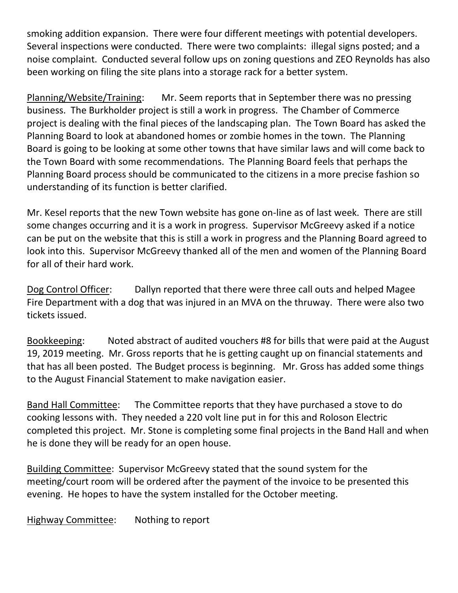smoking addition expansion. There were four different meetings with potential developers. Several inspections were conducted. There were two complaints: illegal signs posted; and a noise complaint. Conducted several follow ups on zoning questions and ZEO Reynolds has also been working on filing the site plans into a storage rack for a better system.

Planning/Website/Training: Mr. Seem reports that in September there was no pressing business. The Burkholder project is still a work in progress. The Chamber of Commerce project is dealing with the final pieces of the landscaping plan. The Town Board has asked the Planning Board to look at abandoned homes or zombie homes in the town. The Planning Board is going to be looking at some other towns that have similar laws and will come back to the Town Board with some recommendations. The Planning Board feels that perhaps the Planning Board process should be communicated to the citizens in a more precise fashion so understanding of its function is better clarified.

Mr. Kesel reports that the new Town website has gone on-line as of last week. There are still some changes occurring and it is a work in progress. Supervisor McGreevy asked if a notice can be put on the website that this is still a work in progress and the Planning Board agreed to look into this. Supervisor McGreevy thanked all of the men and women of the Planning Board for all of their hard work.

Dog Control Officer: Dallyn reported that there were three call outs and helped Magee Fire Department with a dog that was injured in an MVA on the thruway. There were also two tickets issued.

Bookkeeping: Noted abstract of audited vouchers #8 for bills that were paid at the August 19, 2019 meeting. Mr. Gross reports that he is getting caught up on financial statements and that has all been posted. The Budget process is beginning. Mr. Gross has added some things to the August Financial Statement to make navigation easier.

Band Hall Committee: The Committee reports that they have purchased a stove to do cooking lessons with. They needed a 220 volt line put in for this and Roloson Electric completed this project. Mr. Stone is completing some final projects in the Band Hall and when he is done they will be ready for an open house.

Building Committee: Supervisor McGreevy stated that the sound system for the meeting/court room will be ordered after the payment of the invoice to be presented this evening. He hopes to have the system installed for the October meeting.

Highway Committee: Nothing to report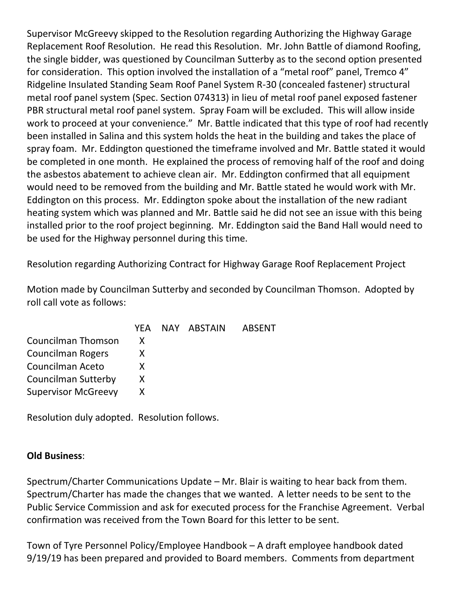Supervisor McGreevy skipped to the Resolution regarding Authorizing the Highway Garage Replacement Roof Resolution. He read this Resolution. Mr. John Battle of diamond Roofing, the single bidder, was questioned by Councilman Sutterby as to the second option presented for consideration. This option involved the installation of a "metal roof" panel, Tremco 4" Ridgeline Insulated Standing Seam Roof Panel System R-30 (concealed fastener) structural metal roof panel system (Spec. Section 074313) in lieu of metal roof panel exposed fastener PBR structural metal roof panel system. Spray Foam will be excluded. This will allow inside work to proceed at your convenience." Mr. Battle indicated that this type of roof had recently been installed in Salina and this system holds the heat in the building and takes the place of spray foam. Mr. Eddington questioned the timeframe involved and Mr. Battle stated it would be completed in one month. He explained the process of removing half of the roof and doing the asbestos abatement to achieve clean air. Mr. Eddington confirmed that all equipment would need to be removed from the building and Mr. Battle stated he would work with Mr. Eddington on this process. Mr. Eddington spoke about the installation of the new radiant heating system which was planned and Mr. Battle said he did not see an issue with this being installed prior to the roof project beginning. Mr. Eddington said the Band Hall would need to be used for the Highway personnel during this time.

Resolution regarding Authorizing Contract for Highway Garage Roof Replacement Project

Motion made by Councilman Sutterby and seconded by Councilman Thomson. Adopted by roll call vote as follows:

|                            |  | YEA NAY ABSTAIN | ABSENT |
|----------------------------|--|-----------------|--------|
| Councilman Thomson         |  |                 |        |
| Councilman Rogers          |  |                 |        |
| Councilman Aceto           |  |                 |        |
| <b>Councilman Sutterby</b> |  |                 |        |
| <b>Supervisor McGreevy</b> |  |                 |        |

Resolution duly adopted. Resolution follows.

## **Old Business**:

Spectrum/Charter Communications Update – Mr. Blair is waiting to hear back from them. Spectrum/Charter has made the changes that we wanted. A letter needs to be sent to the Public Service Commission and ask for executed process for the Franchise Agreement. Verbal confirmation was received from the Town Board for this letter to be sent.

Town of Tyre Personnel Policy/Employee Handbook – A draft employee handbook dated 9/19/19 has been prepared and provided to Board members. Comments from department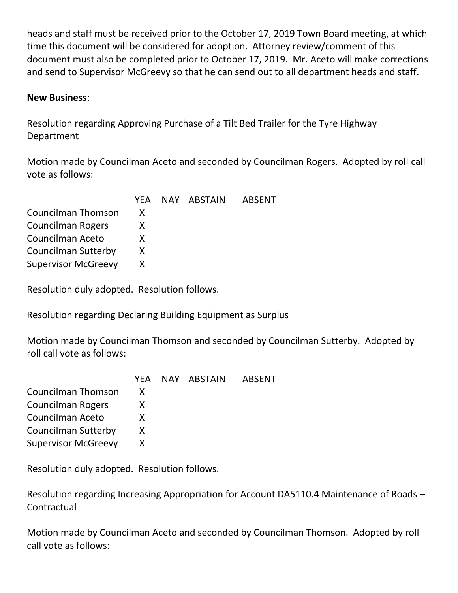heads and staff must be received prior to the October 17, 2019 Town Board meeting, at which time this document will be considered for adoption. Attorney review/comment of this document must also be completed prior to October 17, 2019. Mr. Aceto will make corrections and send to Supervisor McGreevy so that he can send out to all department heads and staff.

## **New Business**:

Resolution regarding Approving Purchase of a Tilt Bed Trailer for the Tyre Highway Department

Motion made by Councilman Aceto and seconded by Councilman Rogers. Adopted by roll call vote as follows:

|                            |    | YEA NAY ABSTAIN | <b>ABSENT</b> |
|----------------------------|----|-----------------|---------------|
| Councilman Thomson         |    |                 |               |
| <b>Councilman Rogers</b>   |    |                 |               |
| Councilman Aceto           | X. |                 |               |
| <b>Councilman Sutterby</b> |    |                 |               |
| <b>Supervisor McGreevy</b> |    |                 |               |

Resolution duly adopted. Resolution follows.

Resolution regarding Declaring Building Equipment as Surplus

Motion made by Councilman Thomson and seconded by Councilman Sutterby. Adopted by roll call vote as follows:

|                            | YFA. | NAY ABSTAIN | <b>ABSENT</b> |
|----------------------------|------|-------------|---------------|
| Councilman Thomson         | X    |             |               |
| Councilman Rogers          | X    |             |               |
| Councilman Aceto           | X.   |             |               |
| <b>Councilman Sutterby</b> | X    |             |               |
| <b>Supervisor McGreevy</b> | X    |             |               |
|                            |      |             |               |

Resolution duly adopted. Resolution follows.

Resolution regarding Increasing Appropriation for Account DA5110.4 Maintenance of Roads – **Contractual** 

Motion made by Councilman Aceto and seconded by Councilman Thomson. Adopted by roll call vote as follows: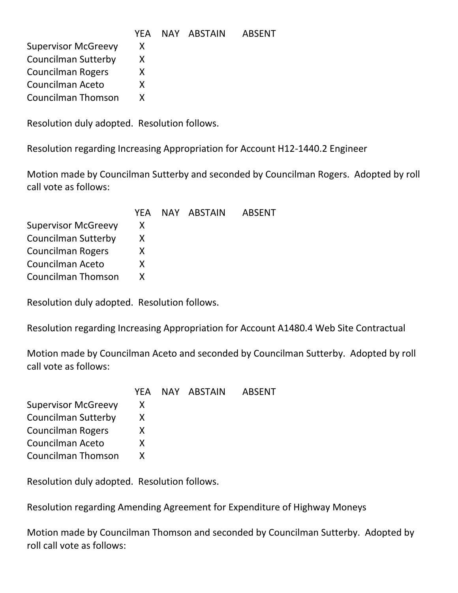|                            |    | YEA NAY ABSTAIN | ABSENT |
|----------------------------|----|-----------------|--------|
| <b>Supervisor McGreevy</b> | X  |                 |        |
| <b>Councilman Sutterby</b> | X. |                 |        |
| <b>Councilman Rogers</b>   |    |                 |        |
| Councilman Aceto           |    |                 |        |
| Councilman Thomson         |    |                 |        |

Resolution regarding Increasing Appropriation for Account H12-1440.2 Engineer

Motion made by Councilman Sutterby and seconded by Councilman Rogers. Adopted by roll call vote as follows:

|                            |    | YEA NAY ABSTAIN | ABSENT |
|----------------------------|----|-----------------|--------|
| <b>Supervisor McGreevy</b> | X. |                 |        |
| Councilman Sutterby        |    |                 |        |
| <b>Councilman Rogers</b>   | X. |                 |        |
| Councilman Aceto           | X. |                 |        |
| Councilman Thomson         |    |                 |        |
|                            |    |                 |        |

Resolution duly adopted. Resolution follows.

Resolution regarding Increasing Appropriation for Account A1480.4 Web Site Contractual

Motion made by Councilman Aceto and seconded by Councilman Sutterby. Adopted by roll call vote as follows:

|   |  | ABSENT          |
|---|--|-----------------|
|   |  |                 |
|   |  |                 |
| X |  |                 |
| x |  |                 |
|   |  |                 |
|   |  | YEA NAY ABSTAIN |

Resolution duly adopted. Resolution follows.

Resolution regarding Amending Agreement for Expenditure of Highway Moneys

Motion made by Councilman Thomson and seconded by Councilman Sutterby. Adopted by roll call vote as follows: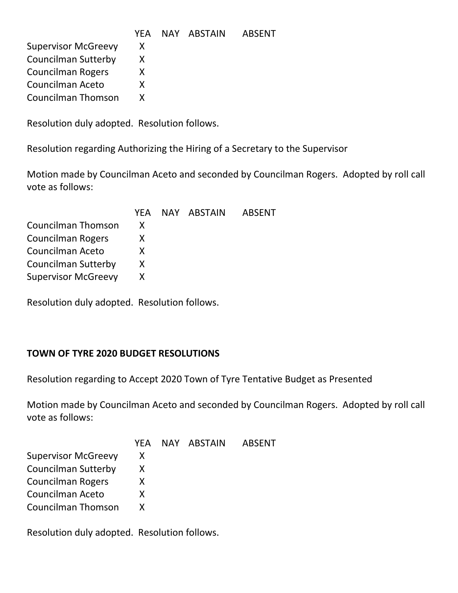|                            |  | YEA NAY ABSTAIN | ABSENT |
|----------------------------|--|-----------------|--------|
| <b>Supervisor McGreevy</b> |  |                 |        |
| <b>Councilman Sutterby</b> |  |                 |        |
| <b>Councilman Rogers</b>   |  |                 |        |
| Councilman Aceto           |  |                 |        |
| Councilman Thomson         |  |                 |        |

Resolution regarding Authorizing the Hiring of a Secretary to the Supervisor

Motion made by Councilman Aceto and seconded by Councilman Rogers. Adopted by roll call vote as follows:

|                            |    | YEA NAY ABSTAIN | ABSENT |
|----------------------------|----|-----------------|--------|
| Councilman Thomson         | X  |                 |        |
| <b>Councilman Rogers</b>   | X. |                 |        |
| Councilman Aceto           | X  |                 |        |
| Councilman Sutterby        | X. |                 |        |
| <b>Supervisor McGreevy</b> |    |                 |        |
|                            |    |                 |        |

Resolution duly adopted. Resolution follows.

## **TOWN OF TYRE 2020 BUDGET RESOLUTIONS**

Resolution regarding to Accept 2020 Town of Tyre Tentative Budget as Presented

Motion made by Councilman Aceto and seconded by Councilman Rogers. Adopted by roll call vote as follows:

|    |  | <b>ABSENT</b>   |
|----|--|-----------------|
| X  |  |                 |
| X. |  |                 |
| X  |  |                 |
| X. |  |                 |
| X  |  |                 |
|    |  | YEA NAY ABSTAIN |

Resolution duly adopted. Resolution follows.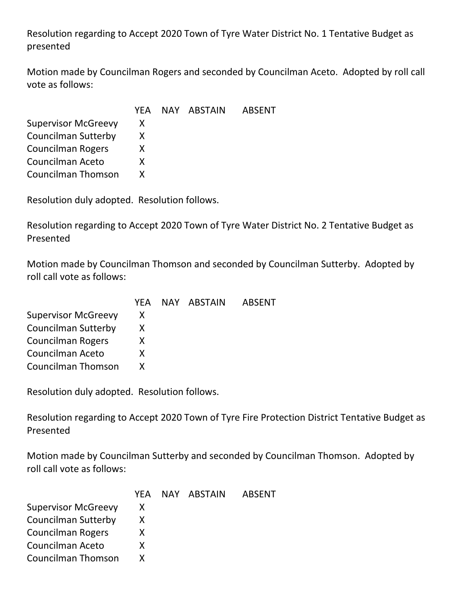Resolution regarding to Accept 2020 Town of Tyre Water District No. 1 Tentative Budget as presented

Motion made by Councilman Rogers and seconded by Councilman Aceto. Adopted by roll call vote as follows:

|    |  | <b>ABSENT</b>   |
|----|--|-----------------|
| X. |  |                 |
|    |  |                 |
| X. |  |                 |
| X. |  |                 |
|    |  |                 |
|    |  | YEA NAY ABSTAIN |

Resolution duly adopted. Resolution follows.

Resolution regarding to Accept 2020 Town of Tyre Water District No. 2 Tentative Budget as Presented

Motion made by Councilman Thomson and seconded by Councilman Sutterby. Adopted by roll call vote as follows:

|                            | YFA | NAY ABSTAIN | ABSENT |
|----------------------------|-----|-------------|--------|
| <b>Supervisor McGreevy</b> | X   |             |        |
| <b>Councilman Sutterby</b> |     |             |        |
| <b>Councilman Rogers</b>   |     |             |        |
| Councilman Aceto           | x   |             |        |
| <b>Councilman Thomson</b>  |     |             |        |

Resolution duly adopted. Resolution follows.

Resolution regarding to Accept 2020 Town of Tyre Fire Protection District Tentative Budget as Presented

Motion made by Councilman Sutterby and seconded by Councilman Thomson. Adopted by roll call vote as follows:

|                            | YFA. | NAY ABSTAIN | <b>ABSENT</b> |
|----------------------------|------|-------------|---------------|
| <b>Supervisor McGreevy</b> | X    |             |               |
| <b>Councilman Sutterby</b> | X    |             |               |
| <b>Councilman Rogers</b>   | X    |             |               |
| Councilman Aceto           | X    |             |               |
| Councilman Thomson         |      |             |               |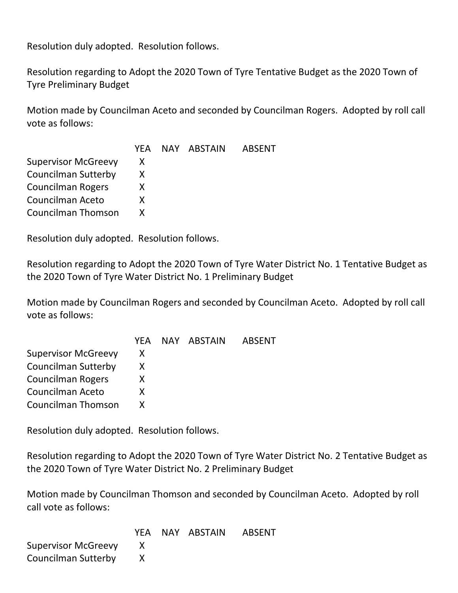Resolution regarding to Adopt the 2020 Town of Tyre Tentative Budget as the 2020 Town of Tyre Preliminary Budget

Motion made by Councilman Aceto and seconded by Councilman Rogers. Adopted by roll call vote as follows:

|                            | YFA. | NAY ABSTAIN | ABSENT |
|----------------------------|------|-------------|--------|
| <b>Supervisor McGreevy</b> | X    |             |        |
| <b>Councilman Sutterby</b> | X    |             |        |
| <b>Councilman Rogers</b>   | X    |             |        |
| Councilman Aceto           | x    |             |        |
| <b>Councilman Thomson</b>  |      |             |        |

Resolution duly adopted. Resolution follows.

Resolution regarding to Adopt the 2020 Town of Tyre Water District No. 1 Tentative Budget as the 2020 Town of Tyre Water District No. 1 Preliminary Budget

Motion made by Councilman Rogers and seconded by Councilman Aceto. Adopted by roll call vote as follows:

|                            |    | YEA NAY ABSTAIN | ABSENT |
|----------------------------|----|-----------------|--------|
| <b>Supervisor McGreevy</b> | X  |                 |        |
| <b>Councilman Sutterby</b> |    |                 |        |
| <b>Councilman Rogers</b>   | X. |                 |        |
| Councilman Aceto           | x  |                 |        |
| <b>Councilman Thomson</b>  |    |                 |        |

Resolution duly adopted. Resolution follows.

Resolution regarding to Adopt the 2020 Town of Tyre Water District No. 2 Tentative Budget as the 2020 Town of Tyre Water District No. 2 Preliminary Budget

Motion made by Councilman Thomson and seconded by Councilman Aceto. Adopted by roll call vote as follows:

|                            |  | YEA NAY ABSTAIN ABSENT |
|----------------------------|--|------------------------|
| <b>Supervisor McGreevy</b> |  |                        |
| Councilman Sutterby        |  |                        |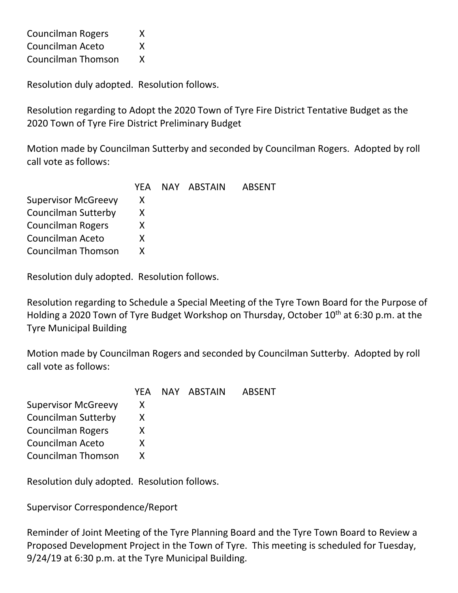| <b>Councilman Rogers</b>  | Χ |
|---------------------------|---|
| Councilman Aceto          | X |
| <b>Councilman Thomson</b> | Χ |

Resolution regarding to Adopt the 2020 Town of Tyre Fire District Tentative Budget as the 2020 Town of Tyre Fire District Preliminary Budget

Motion made by Councilman Sutterby and seconded by Councilman Rogers. Adopted by roll call vote as follows:

| YFA. |  | ABSENT      |
|------|--|-------------|
| X    |  |             |
|      |  |             |
| X.   |  |             |
| X.   |  |             |
|      |  |             |
|      |  | NAY ABSTAIN |

Resolution duly adopted. Resolution follows.

Resolution regarding to Schedule a Special Meeting of the Tyre Town Board for the Purpose of Holding a 2020 Town of Tyre Budget Workshop on Thursday, October 10<sup>th</sup> at 6:30 p.m. at the Tyre Municipal Building

Motion made by Councilman Rogers and seconded by Councilman Sutterby. Adopted by roll call vote as follows:

| YFA. |  | ABSENT      |
|------|--|-------------|
| X.   |  |             |
| х    |  |             |
| x    |  |             |
| X    |  |             |
|      |  |             |
|      |  | NAY ABSTAIN |

Resolution duly adopted. Resolution follows.

Supervisor Correspondence/Report

Reminder of Joint Meeting of the Tyre Planning Board and the Tyre Town Board to Review a Proposed Development Project in the Town of Tyre. This meeting is scheduled for Tuesday, 9/24/19 at 6:30 p.m. at the Tyre Municipal Building.